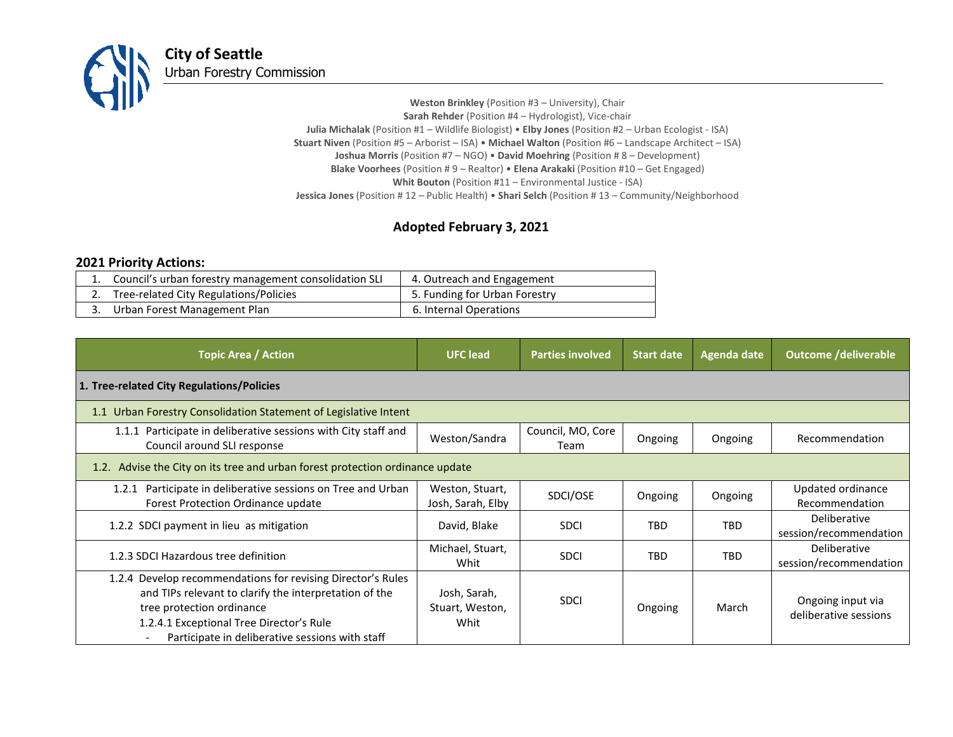

**Weston Brinkley** (Position #3 – University), Chair **Sarah Rehder** (Position #4 – Hydrologist), Vice-chair **Julia Michalak** (Position #1 – Wildlife Biologist) • **Elby Jones** (Position #2 – Urban Ecologist - ISA) **Stuart Niven** (Position #5 – Arborist – ISA) • **Michael Walton** (Position #6 – Landscape Architect – ISA) **Joshua Morris** (Position #7 – NGO) • **David Moehring** (Position # 8 – Development) **Blake Voorhees** (Position # 9 – Realtor) • **Elena Arakaki** (Position #10 – Get Engaged) **Whit Bouton** (Position #11 – Environmental Justice - ISA) **Jessica Jones** (Position # 12 – Public Health) • **Shari Selch** (Position # 13 – Community/Neighborhood

## **Adopted February 3, 2021**

## **2021 Priority Actions:**

| Council's urban forestry management consolidation SLI | 4. Outreach and Engagement    |
|-------------------------------------------------------|-------------------------------|
| Tree-related City Regulations/Policies                | 5. Funding for Urban Forestry |
| Urban Forest Management Plan                          | 6. Internal Operations        |

| <b>Topic Area / Action</b>                                                                                                                                                                                                                                                    | <b>UFC</b> lead                         | <b>Parties involved</b>   | <b>Start date</b> | Agenda date | <b>Outcome /deliverable</b>                |  |  |
|-------------------------------------------------------------------------------------------------------------------------------------------------------------------------------------------------------------------------------------------------------------------------------|-----------------------------------------|---------------------------|-------------------|-------------|--------------------------------------------|--|--|
| 1. Tree-related City Regulations/Policies                                                                                                                                                                                                                                     |                                         |                           |                   |             |                                            |  |  |
| 1.1 Urban Forestry Consolidation Statement of Legislative Intent                                                                                                                                                                                                              |                                         |                           |                   |             |                                            |  |  |
| 1.1.1 Participate in deliberative sessions with City staff and<br>Council around SLI response                                                                                                                                                                                 | Weston/Sandra                           | Council, MO, Core<br>Team | Ongoing           | Ongoing     | Recommendation                             |  |  |
| 1.2. Advise the City on its tree and urban forest protection ordinance update                                                                                                                                                                                                 |                                         |                           |                   |             |                                            |  |  |
| Participate in deliberative sessions on Tree and Urban<br>1.2.1<br><b>Forest Protection Ordinance update</b>                                                                                                                                                                  | Weston, Stuart,<br>Josh, Sarah, Elby    | SDCI/OSE                  | Ongoing           | Ongoing     | Updated ordinance<br>Recommendation        |  |  |
| 1.2.2 SDCI payment in lieu as mitigation                                                                                                                                                                                                                                      | David, Blake                            | <b>SDCI</b>               | <b>TBD</b>        | <b>TBD</b>  | Deliberative<br>session/recommendation     |  |  |
| 1.2.3 SDCI Hazardous tree definition                                                                                                                                                                                                                                          | Michael, Stuart,<br>Whit                | <b>SDCI</b>               | <b>TBD</b>        | <b>TBD</b>  | Deliberative<br>session/recommendation     |  |  |
| 1.2.4 Develop recommendations for revising Director's Rules<br>and TIPs relevant to clarify the interpretation of the<br>tree protection ordinance<br>1.2.4.1 Exceptional Tree Director's Rule<br>Participate in deliberative sessions with staff<br>$\overline{\phantom{a}}$ | Josh, Sarah,<br>Stuart, Weston,<br>Whit | <b>SDCI</b>               | Ongoing           | March       | Ongoing input via<br>deliberative sessions |  |  |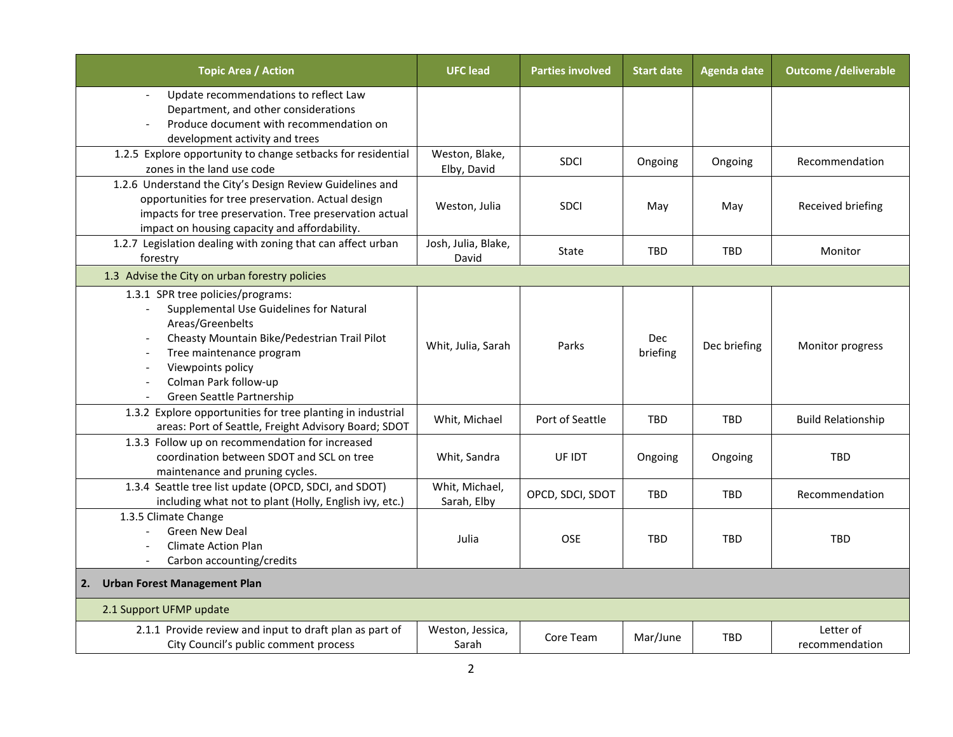| <b>Topic Area / Action</b>                                                                                                                                                                                                                              | <b>UFC</b> lead               | <b>Parties involved</b> | <b>Start date</b>      | <b>Agenda date</b> | <b>Outcome /deliverable</b> |
|---------------------------------------------------------------------------------------------------------------------------------------------------------------------------------------------------------------------------------------------------------|-------------------------------|-------------------------|------------------------|--------------------|-----------------------------|
| Update recommendations to reflect Law<br>$\blacksquare$<br>Department, and other considerations<br>Produce document with recommendation on<br>development activity and trees                                                                            |                               |                         |                        |                    |                             |
| 1.2.5 Explore opportunity to change setbacks for residential<br>zones in the land use code                                                                                                                                                              | Weston, Blake,<br>Elby, David | SDCI                    | Ongoing                | Ongoing            | Recommendation              |
| 1.2.6 Understand the City's Design Review Guidelines and<br>opportunities for tree preservation. Actual design<br>impacts for tree preservation. Tree preservation actual<br>impact on housing capacity and affordability.                              | Weston, Julia                 | <b>SDCI</b>             | May                    | May                | Received briefing           |
| 1.2.7 Legislation dealing with zoning that can affect urban<br>forestry                                                                                                                                                                                 | Josh, Julia, Blake,<br>David  | State                   | <b>TBD</b>             | TBD                | Monitor                     |
| 1.3 Advise the City on urban forestry policies                                                                                                                                                                                                          |                               |                         |                        |                    |                             |
| 1.3.1 SPR tree policies/programs:<br>Supplemental Use Guidelines for Natural<br>Areas/Greenbelts<br>Cheasty Mountain Bike/Pedestrian Trail Pilot<br>Tree maintenance program<br>Viewpoints policy<br>Colman Park follow-up<br>Green Seattle Partnership | Whit, Julia, Sarah            | Parks                   | <b>Dec</b><br>briefing | Dec briefing       | Monitor progress            |
| 1.3.2 Explore opportunities for tree planting in industrial<br>areas: Port of Seattle, Freight Advisory Board; SDOT                                                                                                                                     | Whit, Michael                 | Port of Seattle         | <b>TBD</b>             | TBD                | <b>Build Relationship</b>   |
| 1.3.3 Follow up on recommendation for increased<br>coordination between SDOT and SCL on tree<br>maintenance and pruning cycles.                                                                                                                         | Whit, Sandra                  | UF IDT                  | Ongoing                | Ongoing            | <b>TBD</b>                  |
| 1.3.4 Seattle tree list update (OPCD, SDCI, and SDOT)<br>including what not to plant (Holly, English ivy, etc.)                                                                                                                                         | Whit, Michael,<br>Sarah, Elby | OPCD, SDCI, SDOT        | TBD                    | <b>TBD</b>         | Recommendation              |
| 1.3.5 Climate Change<br><b>Green New Deal</b><br><b>Climate Action Plan</b><br>Carbon accounting/credits                                                                                                                                                | Julia                         | OSE                     | TBD                    | TBD                | <b>TBD</b>                  |
| <b>Urban Forest Management Plan</b><br>2.                                                                                                                                                                                                               |                               |                         |                        |                    |                             |
| 2.1 Support UFMP update                                                                                                                                                                                                                                 |                               |                         |                        |                    |                             |
| 2.1.1 Provide review and input to draft plan as part of<br>City Council's public comment process                                                                                                                                                        | Weston, Jessica,<br>Sarah     | Core Team               | Mar/June               | <b>TBD</b>         | Letter of<br>recommendation |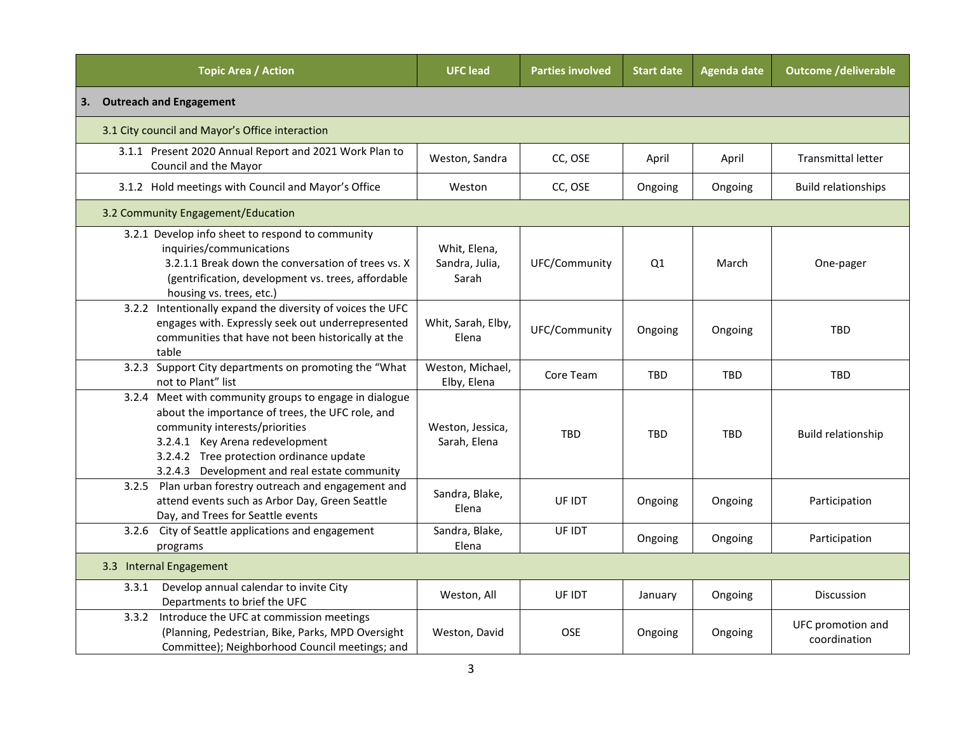| <b>Topic Area / Action</b>                                                                                                                                                                                                                                                   | <b>UFC</b> lead                         | <b>Parties involved</b> | <b>Start date</b> | <b>Agenda date</b> | <b>Outcome /deliverable</b>       |  |
|------------------------------------------------------------------------------------------------------------------------------------------------------------------------------------------------------------------------------------------------------------------------------|-----------------------------------------|-------------------------|-------------------|--------------------|-----------------------------------|--|
| <b>Outreach and Engagement</b><br>3.                                                                                                                                                                                                                                         |                                         |                         |                   |                    |                                   |  |
| 3.1 City council and Mayor's Office interaction                                                                                                                                                                                                                              |                                         |                         |                   |                    |                                   |  |
| 3.1.1 Present 2020 Annual Report and 2021 Work Plan to<br>Council and the Mayor                                                                                                                                                                                              | Weston, Sandra                          | CC, OSE                 | April             | April              | <b>Transmittal letter</b>         |  |
| 3.1.2 Hold meetings with Council and Mayor's Office                                                                                                                                                                                                                          | Weston                                  | CC, OSE                 | Ongoing           | Ongoing            | <b>Build relationships</b>        |  |
| 3.2 Community Engagement/Education                                                                                                                                                                                                                                           |                                         |                         |                   |                    |                                   |  |
| 3.2.1 Develop info sheet to respond to community<br>inquiries/communications<br>3.2.1.1 Break down the conversation of trees vs. X<br>(gentrification, development vs. trees, affordable<br>housing vs. trees, etc.)                                                         | Whit, Elena,<br>Sandra, Julia,<br>Sarah | UFC/Community           | Q1                | March              | One-pager                         |  |
| 3.2.2 Intentionally expand the diversity of voices the UFC<br>engages with. Expressly seek out underrepresented<br>communities that have not been historically at the<br>table                                                                                               | Whit, Sarah, Elby,<br>Elena             | UFC/Community           | Ongoing           | Ongoing            | <b>TBD</b>                        |  |
| 3.2.3 Support City departments on promoting the "What<br>not to Plant" list                                                                                                                                                                                                  | Weston, Michael,<br>Elby, Elena         | Core Team               | <b>TBD</b>        | TBD                | TBD                               |  |
| 3.2.4 Meet with community groups to engage in dialogue<br>about the importance of trees, the UFC role, and<br>community interests/priorities<br>3.2.4.1 Key Arena redevelopment<br>3.2.4.2 Tree protection ordinance update<br>3.2.4.3 Development and real estate community | Weston, Jessica,<br>Sarah, Elena        | <b>TBD</b>              | <b>TBD</b>        | <b>TBD</b>         | Build relationship                |  |
| 3.2.5 Plan urban forestry outreach and engagement and<br>attend events such as Arbor Day, Green Seattle<br>Day, and Trees for Seattle events                                                                                                                                 | Sandra, Blake,<br>Elena                 | UF IDT                  | Ongoing           | Ongoing            | Participation                     |  |
| 3.2.6 City of Seattle applications and engagement<br>programs                                                                                                                                                                                                                | Sandra, Blake,<br>Elena                 | UF IDT                  | Ongoing           | Ongoing            | Participation                     |  |
| 3.3 Internal Engagement                                                                                                                                                                                                                                                      |                                         |                         |                   |                    |                                   |  |
| Develop annual calendar to invite City<br>3.3.1<br>Departments to brief the UFC                                                                                                                                                                                              | Weston, All                             | UF IDT                  | January           | Ongoing            | <b>Discussion</b>                 |  |
| Introduce the UFC at commission meetings<br>3.3.2<br>(Planning, Pedestrian, Bike, Parks, MPD Oversight<br>Committee); Neighborhood Council meetings; and                                                                                                                     | Weston, David                           | <b>OSE</b>              | Ongoing           | Ongoing            | UFC promotion and<br>coordination |  |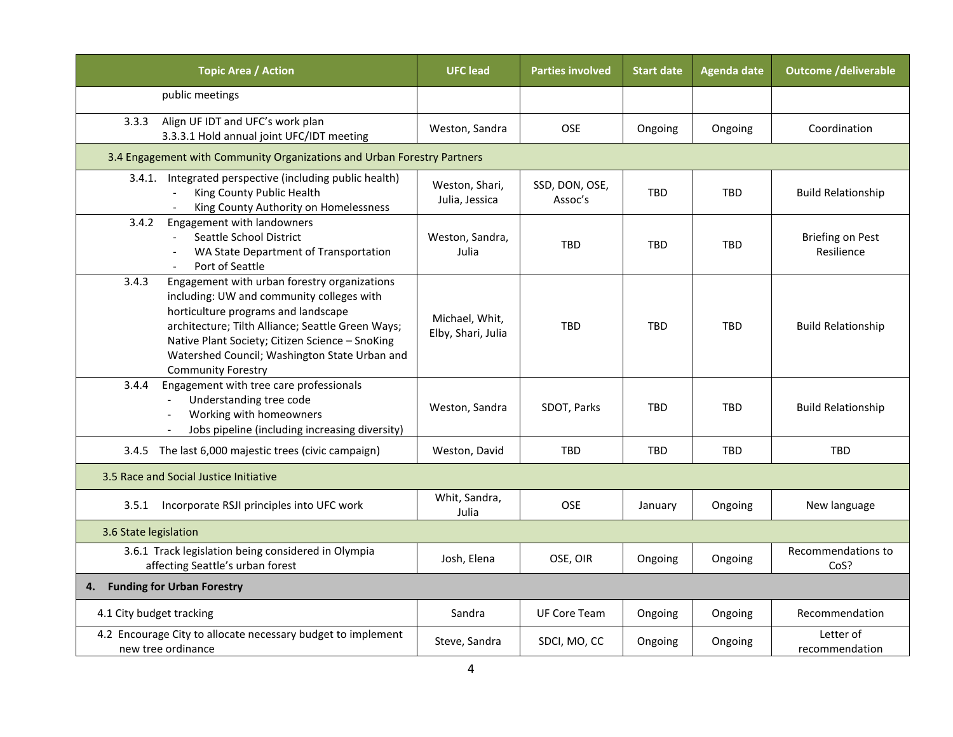| <b>Topic Area / Action</b>                                                                                                                                                                                                                                                                                                      | <b>UFC lead</b>                                                         | <b>Parties involved</b>   | <b>Start date</b> | <b>Agenda date</b> | <b>Outcome /deliverable</b>           |  |  |
|---------------------------------------------------------------------------------------------------------------------------------------------------------------------------------------------------------------------------------------------------------------------------------------------------------------------------------|-------------------------------------------------------------------------|---------------------------|-------------------|--------------------|---------------------------------------|--|--|
| public meetings                                                                                                                                                                                                                                                                                                                 |                                                                         |                           |                   |                    |                                       |  |  |
| Align UF IDT and UFC's work plan<br>3.3.3<br>3.3.3.1 Hold annual joint UFC/IDT meeting                                                                                                                                                                                                                                          | Weston, Sandra                                                          | OSE                       | Ongoing           | Ongoing            | Coordination                          |  |  |
|                                                                                                                                                                                                                                                                                                                                 | 3.4 Engagement with Community Organizations and Urban Forestry Partners |                           |                   |                    |                                       |  |  |
| Integrated perspective (including public health)<br>3.4.1.<br>King County Public Health<br>$\blacksquare$<br>King County Authority on Homelessness                                                                                                                                                                              | Weston, Shari,<br>Julia, Jessica                                        | SSD, DON, OSE,<br>Assoc's | <b>TBD</b>        | <b>TBD</b>         | <b>Build Relationship</b>             |  |  |
| 3.4.2<br>Engagement with landowners<br>Seattle School District<br>WA State Department of Transportation<br>Port of Seattle<br>$\overline{\phantom{a}}$                                                                                                                                                                          | Weston, Sandra,<br>Julia                                                | <b>TBD</b>                | <b>TBD</b>        | <b>TBD</b>         | <b>Briefing on Pest</b><br>Resilience |  |  |
| Engagement with urban forestry organizations<br>3.4.3<br>including: UW and community colleges with<br>horticulture programs and landscape<br>architecture; Tilth Alliance; Seattle Green Ways;<br>Native Plant Society; Citizen Science - SnoKing<br>Watershed Council; Washington State Urban and<br><b>Community Forestry</b> | Michael, Whit,<br>Elby, Shari, Julia                                    | <b>TBD</b>                | <b>TBD</b>        | <b>TBD</b>         | <b>Build Relationship</b>             |  |  |
| Engagement with tree care professionals<br>3.4.4<br>Understanding tree code<br>Working with homeowners<br>Jobs pipeline (including increasing diversity)                                                                                                                                                                        | Weston, Sandra                                                          | SDOT, Parks               | <b>TBD</b>        | <b>TBD</b>         | <b>Build Relationship</b>             |  |  |
| 3.4.5 The last 6,000 majestic trees (civic campaign)                                                                                                                                                                                                                                                                            | Weston, David                                                           | <b>TBD</b>                | <b>TBD</b>        | <b>TBD</b>         | <b>TBD</b>                            |  |  |
| 3.5 Race and Social Justice Initiative                                                                                                                                                                                                                                                                                          |                                                                         |                           |                   |                    |                                       |  |  |
| 3.5.1 Incorporate RSJI principles into UFC work                                                                                                                                                                                                                                                                                 | Whit, Sandra,<br>Julia                                                  | <b>OSE</b>                | January           | Ongoing            | New language                          |  |  |
| 3.6 State legislation                                                                                                                                                                                                                                                                                                           |                                                                         |                           |                   |                    |                                       |  |  |
| 3.6.1 Track legislation being considered in Olympia<br>affecting Seattle's urban forest                                                                                                                                                                                                                                         | Josh, Elena                                                             | OSE, OIR                  | Ongoing           | Ongoing            | Recommendations to<br>CoS?            |  |  |
| <b>Funding for Urban Forestry</b><br>4.                                                                                                                                                                                                                                                                                         |                                                                         |                           |                   |                    |                                       |  |  |
| 4.1 City budget tracking                                                                                                                                                                                                                                                                                                        | Sandra                                                                  | <b>UF Core Team</b>       | Ongoing           | Ongoing            | Recommendation                        |  |  |
| 4.2 Encourage City to allocate necessary budget to implement<br>new tree ordinance                                                                                                                                                                                                                                              | Steve, Sandra                                                           | SDCI, MO, CC              | Ongoing           | Ongoing            | Letter of<br>recommendation           |  |  |